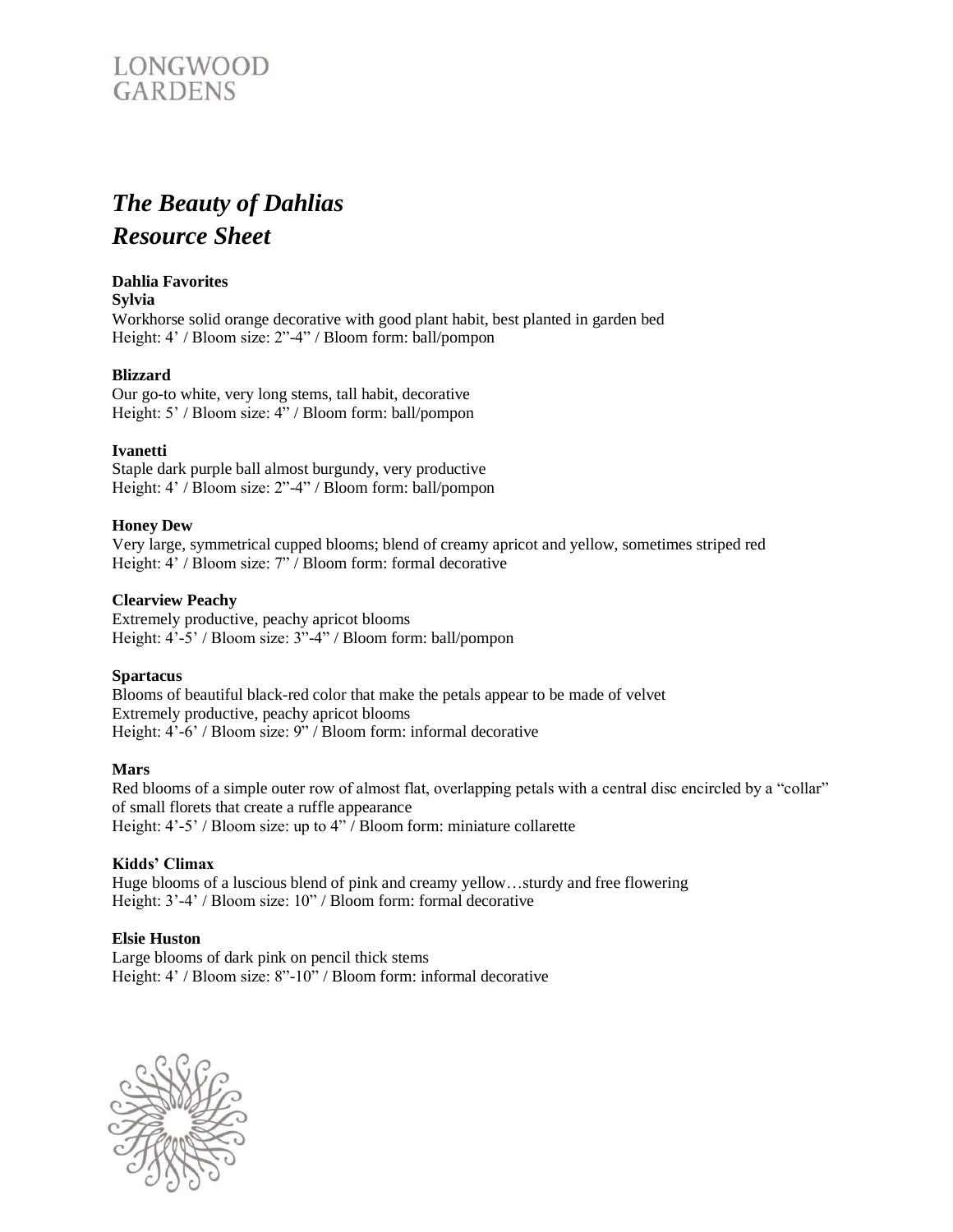

# *The Beauty of Dahlias Resource Sheet*

### **Dahlia Favorites**

**Sylvia**

Workhorse solid orange decorative with good plant habit, best planted in garden bed Height: 4' / Bloom size: 2"-4" / Bloom form: ball/pompon

# **Blizzard**

Our go-to white, very long stems, tall habit, decorative Height: 5' / Bloom size: 4" / Bloom form: ball/pompon

# **Ivanetti**

Staple dark purple ball almost burgundy, very productive Height: 4' / Bloom size: 2"-4" / Bloom form: ball/pompon

# **Honey Dew**

Very large, symmetrical cupped blooms; blend of creamy apricot and yellow, sometimes striped red Height: 4' / Bloom size: 7" / Bloom form: formal decorative

#### **Clearview Peachy**

Extremely productive, peachy apricot blooms Height: 4'-5' / Bloom size: 3"-4" / Bloom form: ball/pompon

#### **Spartacus**

Blooms of beautiful black-red color that make the petals appear to be made of velvet Extremely productive, peachy apricot blooms Height: 4'-6' / Bloom size: 9" / Bloom form: informal decorative

#### **Mars**

Red blooms of a simple outer row of almost flat, overlapping petals with a central disc encircled by a "collar" of small florets that create a ruffle appearance Height: 4'-5' / Bloom size: up to 4" / Bloom form: miniature collarette

### **Kidds' Climax**

Huge blooms of a luscious blend of pink and creamy yellow…sturdy and free flowering Height: 3'-4' / Bloom size: 10" / Bloom form: formal decorative

#### **Elsie Huston**

Large blooms of dark pink on pencil thick stems Height: 4' / Bloom size: 8"-10" / Bloom form: informal decorative